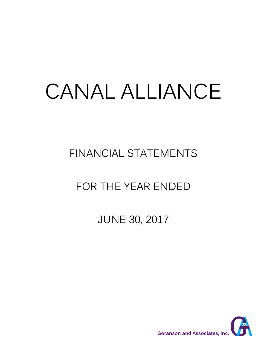# CANAL ALLIANCE

# FINANCIAL STATEMENTS

# FOR THE YEAR ENDED

# JUNE 30, 2017



**Goranson and Associates, Inc.**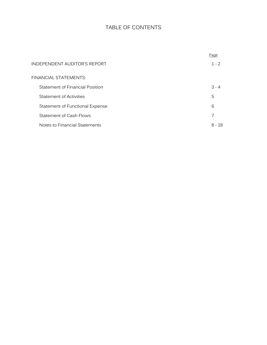# TABLE OF CONTENTS

|                                 | Page     |
|---------------------------------|----------|
| INDEPENDENT AUDITOR'S REPORT    | $1 - 2$  |
| FINANCIAL STATEMENTS:           |          |
| Statement of Financial Position | $3 - 4$  |
| Statement of Activities         | 5        |
| Statement of Functional Expense | 6        |
| Statement of Cash Flows         | 7        |
| Notes to Financial Statements   | $8 - 18$ |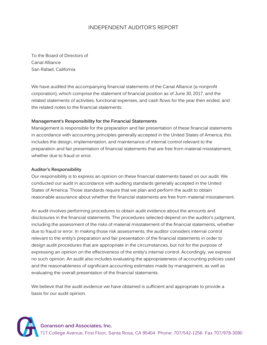### INDEPENDENT AUDITOR'S REPORT

To the Board of Directors of Canal Alliance San Rafael, California

We have audited the accompanying financial statements of the Canal Alliance (a nonprofit corporation), which comprise the statement of financial position as of June 30, 2017, and the related statements of activities, functional expenses, and cash flows for the year then ended, and the related notes to the financial statements.

#### **Management's Responsibility for the Financial Statements**

Management is responsible for the preparation and fair presentation of these financial statements in accordance with accounting principles generally accepted in the United States of America; this includes the design, implementation, and maintenance of internal control relevant to the preparation and fair presentation of financial statements that are free from material misstatement, whether due to fraud or error.

#### **Auditor's Responsibility**

Our responsibility is to express an opinion on these financial statements based on our audit. We conducted our audit in accordance with auditing standards generally accepted in the United States of America. Those standards require that we plan and perform the audit to obtain reasonable assurance about whether the financial statements are free from material misstatement.

An audit involves performing procedures to obtain audit evidence about the amounts and disclosures in the financial statements. The procedures selected depend on the auditor's judgment, including the assessment of the risks of material misstatement of the financial statements, whether due to fraud or error. In making those risk assessments, the auditor considers internal control relevant to the entity's preparation and fair presentation of the financial statements in order to design audit procedures that are appropriate in the circumstances, but not for the purpose of expressing an opinion on the effectiveness of the entity's internal control. Accordingly, we express no such opinion. An audit also includes evaluating the appropriateness of accounting policies used and the reasonableness of significant accounting estimates made by management, as well as evaluating the overall presentation of the financial statements.

We believe that the audit evidence we have obtained is sufficient and appropriate to provide a basis for our audit opinion.

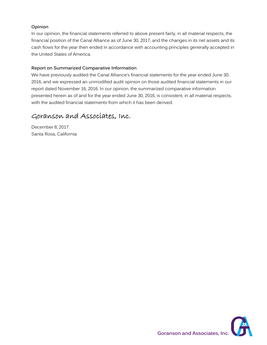#### **Opinion**

In our opinion, the financial statements referred to above present fairly, in all material respects, the financial position of the Canal Alliance as of June 30, 2017, and the changes in its net assets and its cash flows for the year then ended in accordance with accounting principles generally accepted in the United States of America.

#### **Report on Summarized Comparative Information**

We have previously audited the Canal Alliance's financial statements for the year ended June 30, 2016, and we expressed an unmodified audit opinion on those audited financial statements in our report dated November 16, 2016. In our opinion, the summarized comparative information presented herein as of and for the year ended June 30, 2016, is consistent, in all material respects, with the audited financial statements from which it has been derived.

# Goranson and Associates, Inc.

December 8, 2017 Santa Rosa, California

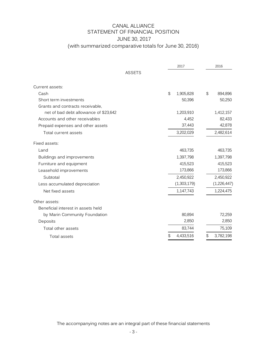### CANAL ALLIANCE STATEMENT OF FINANCIAL POSITION JUNE 30, 2017 (with summarized comparative totals for June 30, 2016)

|                                       | 2017            | 2016            |
|---------------------------------------|-----------------|-----------------|
| <b>ASSETS</b>                         |                 |                 |
| Current assets:                       |                 |                 |
| Cash                                  | \$<br>1,905,828 | 894,896<br>\$   |
| Short term investments                | 50,396          | 50,250          |
| Grants and contracts receivable,      |                 |                 |
| net of bad debt allowance of \$23,642 | 1,203,910       | 1,412,157       |
| Accounts and other receivables        | 4,452           | 82,433          |
| Prepaid expenses and other assets     | 37,443          | 42,878          |
| Total current assets                  | 3,202,029       | 2,482,614       |
| Fixed assets:                         |                 |                 |
| Land                                  | 463,735         | 463,735         |
| Buildings and improvements            | 1,397,798       | 1,397,798       |
| Furniture and equipment               | 415,523         | 415,523         |
| Leasehold improvements                | 173,866         | 173,866         |
| Subtotal                              | 2,450,922       | 2,450,922       |
| Less accumulated depreciation         | (1,303,179)     | (1,226,447)     |
| Net fixed assets                      | 1,147,743       | 1,224,475       |
| Other assets:                         |                 |                 |
| Beneficial interest in assets held    |                 |                 |
| by Marin Community Foundation         | 80,894          | 72,259          |
| Deposits                              | 2,850           | 2,850           |
| Total other assets                    | 83,744          | 75,109          |
| Total assets                          | 4,433,516<br>\$ | 3,782,198<br>\$ |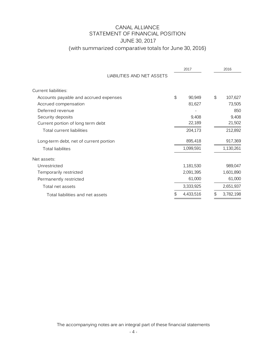# CANAL ALLIANCE STATEMENT OF FINANCIAL POSITION JUNE 30, 2017 (with summarized comparative totals for June 30, 2016)

|                                        | 2017         |                  | 2016      |
|----------------------------------------|--------------|------------------|-----------|
| LIABILITIES AND NET ASSETS             |              |                  |           |
| Current liabilities:                   |              |                  |           |
| Accounts payable and accrued expenses  | \$<br>90,949 | $$\mathfrak{S}$$ | 107,627   |
| Accrued compensation                   | 81,627       |                  | 73,505    |
| Deferred revenue                       |              |                  | 850       |
| Security deposits                      | 9,408        |                  | 9,408     |
| Current portion of long term debt      | 22,189       |                  | 21,502    |
| Total current liabilities              | 204,173      |                  | 212,892   |
| Long-term debt, net of current portion | 895,418      |                  | 917,369   |
| <b>Total liabilites</b>                | 1,099,591    |                  | 1,130,261 |
| Net assets:                            |              |                  |           |
| Unrestricted                           | 1,181,530    |                  | 989,047   |
| Temporarily restricted                 | 2,091,395    |                  | 1,601,890 |
| Permanently restricted                 | 61,000       |                  | 61,000    |
| Total net assets                       | 3,333,925    |                  | 2,651,937 |
| Total liabilities and net assets       | 4,433,516    |                  | 3,782,198 |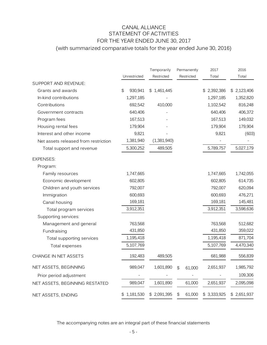# FOR THE YEAR ENDED JUNE 30, 2017 (with summarized comparative totals for the year ended June 30, 2016) CANAL ALLIANCE STATEMENT OF ACTIVITIES

|                                      |               | Temporarily | Permanently  | 2017        | 2016        |
|--------------------------------------|---------------|-------------|--------------|-------------|-------------|
|                                      | Unrestricted  | Restricted  | Restricted   | Total       | Total       |
| SUPPORT AND REVENUE:                 |               |             |              |             |             |
| Grants and awards                    | 930,941<br>\$ | \$1,461,445 |              | \$2,392,386 | \$2,123,406 |
| In-kind contributions                | 1,297,185     |             |              | 1,297,185   | 1,352,820   |
| Contributions                        | 692,542       | 410,000     |              | 1,102,542   | 816,248     |
| Government contracts                 | 640,406       |             |              | 640,406     | 406,372     |
| Program fees                         | 167,513       |             |              | 167,513     | 149,032     |
| Housing rental fees                  | 179,904       |             |              | 179,904     | 179,904     |
| Interest and other income            | 9,821         |             |              | 9,821       | (603)       |
| Net assets released from restriction | 1,381,940     | (1,381,940) |              |             |             |
| Total support and revenue            | 5,300,252     | 489,505     |              | 5,789,757   | 5,027,179   |
| <b>EXPENSES:</b>                     |               |             |              |             |             |
| Program:                             |               |             |              |             |             |
| Family resources                     | 1,747,665     |             |              | 1,747,665   | 1,742,055   |
| Economic development                 | 602,805       |             |              | 602,805     | 614,735     |
| Children and youth services          | 792,007       |             |              | 792,007     | 620,094     |
| Immigration                          | 600,693       |             |              | 600,693     | 476,271     |
| Canal housing                        | 169,181       |             |              | 169,181     | 145,481     |
| Total program services               | 3,912,351     |             |              | 3,912,351   | 3,598,636   |
| Supporting services:                 |               |             |              |             |             |
| Management and general               | 763,568       |             |              | 763,568     | 512,682     |
| Fundraising                          | 431,850       |             |              | 431,850     | 359,022     |
| Total supporting services            | 1,195,418     |             |              | 1,195,418   | 871,704     |
| Total expenses                       | 5,107,769     |             |              | 5,107,769   | 4,470,340   |
| CHANGE IN NET ASSETS                 | 192,483       | 489,505     |              | 681,988     | 556,839     |
| NET ASSETS, BEGINNING                | 989,047       | 1,601,890   | 61,000<br>\$ | 2,651,937   | 1,985,792   |
| Prior period adjustment              |               |             |              |             | 109,306     |
| NET ASSETS, BEGINNING RESTATED       | 989,047       | 1,601,890   | 61,000       | 2,651,937   | 2,095,098   |
| NET ASSETS, ENDING                   | \$1,181,530   | \$2,091,395 | 61,000<br>\$ | \$3,333,925 | \$2,651,937 |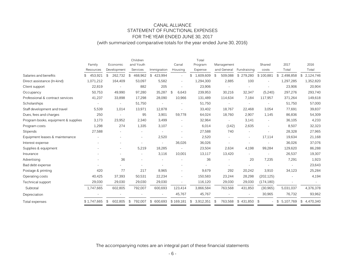#### (with summarized comparative totals for the year ended June 30, 2016) CANAL ALLIANCE STATEMENT OF FUNCTIONAL EXPENSESFOR THE YEAR ENDED JUNE 30, 2017

|                                     |               |               | Children                  |               |             | Total           |               |             |            |                 |                 |
|-------------------------------------|---------------|---------------|---------------------------|---------------|-------------|-----------------|---------------|-------------|------------|-----------------|-----------------|
|                                     | Family        | Economic      | and Youth                 |               | Canal       | Program         | Management    |             | Shared     | 2017            | 2016            |
|                                     | Resources     | Development   | Services                  | Immigration   | Housing     | Expense         | and General   | Fundraising | costs      | Total           | Total           |
| Salaries and benefits               | 453,921<br>\$ | \$<br>262,732 | $\mathfrak{S}$<br>468,962 | \$423,994     |             | \$<br>1,609,609 | \$<br>509,088 | \$279,280   | \$100,881  | \$<br>2,498,858 | \$<br>2,124,746 |
| Direct assistance (In-kind)         | 1,071,212     | 164,409       | 53,097                    | 5,582         |             | 1,294,300       | 2,885         | 100         |            | 1,297,285       | 1,352,820       |
| Client support                      | 22,819        |               | 882                       | 205           |             | 23,906          |               |             |            | 23,906          | 20,904          |
| Occupancy                           | 50,753        | 49,990        | 97,280                    | 35,287        | \$<br>6,643 | 239,953         | 30,216        | 32,347      | (5,240)    | 297,276         | 293,740         |
| Professional & contract services    | 41,237        | 33,898        | 17,298                    | 28,090        | 10,966      | 131,489         | 114,634       | 7,184       | 117,957    | 371,264         | 149,618         |
| Scholarships                        |               |               | 51,750                    |               |             | 51,750          |               |             |            | 51,750          | 57,000          |
| Staff development and travel        | 5,539         | 1,014         | 13,971                    | 12,878        |             | 33,402          | 18,767        | 22,468      | 3,054      | 77,691          | 39,837          |
| Dues, fees and charges              | 250           |               | 95                        | 3,901         | 59,778      | 64,024          | 18,760        | 2,907       | 1,145      | 86,836          | 54,309          |
| Program books, equipment & supplies | 3,173         | 23,952        | 2,340                     | 3,499         |             | 32,964          |               | 3,141       |            | 36,105          | 4,233           |
| Program costs                       | 1,298         | 274           | 1,335                     | 3,107         |             | 6,014           | (142)         | 2,635       |            | 8,507           | 32,323          |
| Stipends                            | 27,588        |               |                           |               |             | 27,588          | 740           |             |            | 28,328          | 27,965          |
| Equipment leases & maintenance      |               |               |                           | 2,520         |             | 2,520           |               |             | 17,114     | 19,634          | 21,168          |
| Interest expense                    |               |               |                           |               | 36,026      | 36,026          |               |             |            | 36,026          | 37,076          |
| Supplies & equipment                |               |               | 5,219                     | 18,285        |             | 23,504          | 2,634         | 4,198       | 99,284     | 129,620         | 86,288          |
| Insurance                           |               |               |                           | 3,116         | 10,001      | 13,117          | 13,420        |             |            | 26,537          | 19,307          |
| Advertising                         |               | 36            |                           |               |             | 36              |               | 20          | 7,235      | 7,291           | 1,923           |
| Bad debt expense                    |               |               |                           |               |             |                 |               |             |            |                 | 23,643          |
| Postage & printing                  | 420           | 77            | 217                       | 8,965         |             | 9,679           | 292           | 20,242      | 3,910      | 34,123          | 25,284          |
| Operating costs                     | 40,425        | 37,393        | 50,531                    | 22,234        |             | 150,583         | 23,244        | 28,298      | (202, 125) |                 | 4,194           |
| Technical support                   | 29,030        | 29,030        | 29,030                    | 29,030        | $\sim$      | 116,120         | 29,030        | 29,030      | (174, 180) |                 |                 |
| Subtotal                            | 1,747,665     | 602,805       | 792,007                   | 600,693       | 123,414     | 3,866,584       | 763,568       | 431,850     | (30, 965)  | 5,031,037       | 4,376,378       |
| Depreciation                        |               |               |                           |               | 45,767      | 45,767          |               |             | 30,965     | 76,732          | 93,962          |
| Total expenses                      | \$1.747.665   | 602,805<br>\$ | 792,007<br>\$             | 600,693<br>\$ | \$169,181   | \$<br>3,912,351 | \$<br>763,568 | \$431,850   | \$         | \$<br>5,107,769 | \$<br>4,470,340 |
|                                     |               |               |                           |               |             |                 |               |             |            |                 |                 |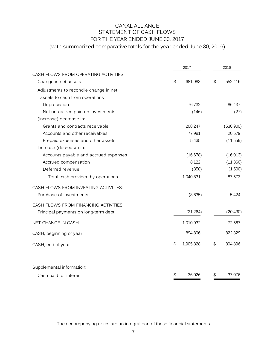# CANAL ALLIANCE STATEMENT OF CASH FLOWS FOR THE YEAR ENDED JUNE 30, 2017

(with summarized comparative totals for the year ended June 30, 2016)

| CASH FLOWS FROM OPERATING ACTIVITIES:<br>$\mathfrak{S}$<br>681,988<br>$\frac{1}{2}$<br>552,416<br>Change in net assets<br>Adjustments to reconcile change in net<br>assets to cash from operations<br>76,732<br>86,437<br>Depreciation<br>Net unrealized gain on investments<br>(146)<br>(27)<br>(Increase) decrease in:<br>Grants and contracts receivable<br>208,247<br>(530,900)<br>Accounts and other receivables<br>77,981<br>20,579<br>5,435<br>Prepaid expenses and other assets<br>(11, 559)<br>Increase (decrease) in:<br>(16, 678)<br>Accounts payable and accrued expenses<br>(16, 013)<br>8,122<br>(11,860)<br>Accrued compensation<br>(850)<br>(1,500)<br>Deferred revenue<br>1,040,831<br>87,573<br>Total cash provided by operations<br>CASH FLOWS FROM INVESTING ACTIVITIES:<br>Purchase of investments<br>(8,635)<br>5,424<br>CASH FLOWS FROM FINANCING ACTIVITIES:<br>(21, 264)<br>(20, 430)<br>Principal payments on long-term debt<br>NET CHANGE IN CASH<br>72,567<br>1,010,932<br>822,329<br>894,896<br>CASH, beginning of year<br>\$<br>1,905,828<br>894,896<br>\$<br>CASH, end of year<br>Supplemental information: |                        | 2017         |    | 2016   |  |  |
|--------------------------------------------------------------------------------------------------------------------------------------------------------------------------------------------------------------------------------------------------------------------------------------------------------------------------------------------------------------------------------------------------------------------------------------------------------------------------------------------------------------------------------------------------------------------------------------------------------------------------------------------------------------------------------------------------------------------------------------------------------------------------------------------------------------------------------------------------------------------------------------------------------------------------------------------------------------------------------------------------------------------------------------------------------------------------------------------------------------------------------------------|------------------------|--------------|----|--------|--|--|
|                                                                                                                                                                                                                                                                                                                                                                                                                                                                                                                                                                                                                                                                                                                                                                                                                                                                                                                                                                                                                                                                                                                                            |                        |              |    |        |  |  |
|                                                                                                                                                                                                                                                                                                                                                                                                                                                                                                                                                                                                                                                                                                                                                                                                                                                                                                                                                                                                                                                                                                                                            |                        |              |    |        |  |  |
|                                                                                                                                                                                                                                                                                                                                                                                                                                                                                                                                                                                                                                                                                                                                                                                                                                                                                                                                                                                                                                                                                                                                            |                        |              |    |        |  |  |
|                                                                                                                                                                                                                                                                                                                                                                                                                                                                                                                                                                                                                                                                                                                                                                                                                                                                                                                                                                                                                                                                                                                                            |                        |              |    |        |  |  |
|                                                                                                                                                                                                                                                                                                                                                                                                                                                                                                                                                                                                                                                                                                                                                                                                                                                                                                                                                                                                                                                                                                                                            |                        |              |    |        |  |  |
|                                                                                                                                                                                                                                                                                                                                                                                                                                                                                                                                                                                                                                                                                                                                                                                                                                                                                                                                                                                                                                                                                                                                            |                        |              |    |        |  |  |
|                                                                                                                                                                                                                                                                                                                                                                                                                                                                                                                                                                                                                                                                                                                                                                                                                                                                                                                                                                                                                                                                                                                                            |                        |              |    |        |  |  |
|                                                                                                                                                                                                                                                                                                                                                                                                                                                                                                                                                                                                                                                                                                                                                                                                                                                                                                                                                                                                                                                                                                                                            |                        |              |    |        |  |  |
|                                                                                                                                                                                                                                                                                                                                                                                                                                                                                                                                                                                                                                                                                                                                                                                                                                                                                                                                                                                                                                                                                                                                            |                        |              |    |        |  |  |
|                                                                                                                                                                                                                                                                                                                                                                                                                                                                                                                                                                                                                                                                                                                                                                                                                                                                                                                                                                                                                                                                                                                                            |                        |              |    |        |  |  |
|                                                                                                                                                                                                                                                                                                                                                                                                                                                                                                                                                                                                                                                                                                                                                                                                                                                                                                                                                                                                                                                                                                                                            |                        |              |    |        |  |  |
|                                                                                                                                                                                                                                                                                                                                                                                                                                                                                                                                                                                                                                                                                                                                                                                                                                                                                                                                                                                                                                                                                                                                            |                        |              |    |        |  |  |
|                                                                                                                                                                                                                                                                                                                                                                                                                                                                                                                                                                                                                                                                                                                                                                                                                                                                                                                                                                                                                                                                                                                                            |                        |              |    |        |  |  |
|                                                                                                                                                                                                                                                                                                                                                                                                                                                                                                                                                                                                                                                                                                                                                                                                                                                                                                                                                                                                                                                                                                                                            |                        |              |    |        |  |  |
|                                                                                                                                                                                                                                                                                                                                                                                                                                                                                                                                                                                                                                                                                                                                                                                                                                                                                                                                                                                                                                                                                                                                            |                        |              |    |        |  |  |
|                                                                                                                                                                                                                                                                                                                                                                                                                                                                                                                                                                                                                                                                                                                                                                                                                                                                                                                                                                                                                                                                                                                                            |                        |              |    |        |  |  |
|                                                                                                                                                                                                                                                                                                                                                                                                                                                                                                                                                                                                                                                                                                                                                                                                                                                                                                                                                                                                                                                                                                                                            |                        |              |    |        |  |  |
|                                                                                                                                                                                                                                                                                                                                                                                                                                                                                                                                                                                                                                                                                                                                                                                                                                                                                                                                                                                                                                                                                                                                            |                        |              |    |        |  |  |
|                                                                                                                                                                                                                                                                                                                                                                                                                                                                                                                                                                                                                                                                                                                                                                                                                                                                                                                                                                                                                                                                                                                                            |                        |              |    |        |  |  |
|                                                                                                                                                                                                                                                                                                                                                                                                                                                                                                                                                                                                                                                                                                                                                                                                                                                                                                                                                                                                                                                                                                                                            |                        |              |    |        |  |  |
|                                                                                                                                                                                                                                                                                                                                                                                                                                                                                                                                                                                                                                                                                                                                                                                                                                                                                                                                                                                                                                                                                                                                            |                        |              |    |        |  |  |
|                                                                                                                                                                                                                                                                                                                                                                                                                                                                                                                                                                                                                                                                                                                                                                                                                                                                                                                                                                                                                                                                                                                                            |                        |              |    |        |  |  |
|                                                                                                                                                                                                                                                                                                                                                                                                                                                                                                                                                                                                                                                                                                                                                                                                                                                                                                                                                                                                                                                                                                                                            |                        |              |    |        |  |  |
|                                                                                                                                                                                                                                                                                                                                                                                                                                                                                                                                                                                                                                                                                                                                                                                                                                                                                                                                                                                                                                                                                                                                            | Cash paid for interest | \$<br>36,026 | \$ | 37,076 |  |  |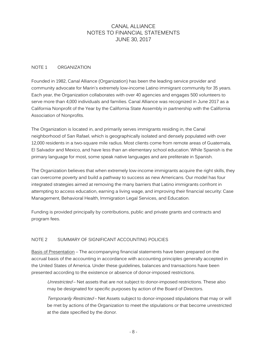#### NOTE 1 ORGANIZATION

Founded in 1982, Canal Alliance (Organization) has been the leading service provider and community advocate for Marin's extremely low-income Latino immigrant community for 35 years. Each year, the Organization collaborates with over 40 agencies and engages 500 volunteers to serve more than 4,000 individuals and families. Canal Alliance was recognized in June 2017 as a California Nonprofit of the Year by the California State Assembly in partnership with the California Association of Nonprofits.

The Organization is located in, and primarily serves immigrants residing in, the Canal neighborhood of San Rafael, which is geographically isolated and densely populated with over 12,000 residents in a two-square mile radius. Most clients come from remote areas of Guatemala, El Salvador and Mexico, and have less than an elementary school education. While Spanish is the primary language for most, some speak native languages and are preliterate in Spanish.

The Organization believes that when extremely low-income immigrants acquire the right skills, they can overcome poverty and build a pathway to success as new Americans. Our model has four integrated strategies aimed at removing the many barriers that Latino immigrants confront in attempting to access education, earning a living wage, and improving their financial security: Case Management, Behavioral Health, Immigration Legal Services, and Education.

Funding is provided principally by contributions, public and private grants and contracts and program fees.

#### NOTE 2 SUMMARY OF SIGNIFICANT ACCOUNTING POLICIES

Basis of Presentation – The accompanying financial statements have been prepared on the accrual basis of the accounting in accordance with accounting principles generally accepted in the United States of America. Under these guidelines, balances and transactions have been presented according to the existence or absence of donor-imposed restrictions.

Unrestricted – Net assets that are not subject to donor-imposed restrictions. These also may be designated for specific purposes by action of the Board of Directors.

Temporarily Restricted - Net Assets subject to donor-imposed stipulations that may or will be met by actions of the Organization to meet the stipulations or that become unrestricted at the date specified by the donor.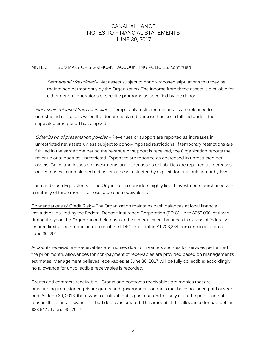#### NOTE 2 SUMMARY OF SIGNIFICANT ACCOUNTING POLICIES, continued

Permanently Restricted – Net assets subject to donor-imposed stipulations that they be maintained permanently by the Organization. The income from these assets is available for either general operations or specific programs as specified by the donor.

Net assets released from restriction - Temporarily restricted net assets are released to unrestricted net assets when the donor-stipulated purpose has been fulfilled and/or the stipulated time period has elapsed.

Other basis of presentation policies – Revenues or support are reported as increases in unrestricted net assets unless subject to donor-imposed restrictions. If temporary restrictions are fulfilled in the same time period the revenue or support is received, the Organization reports the revenue or support as unrestricted. Expenses are reported as decreased in unrestricted net assets. Gains and losses on investments and other assets or liabilities are reported as increases or decreases in unrestricted net assets unless restricted by explicit donor stipulation or by law.

Cash and Cash Equivalents – The Organization considers highly liquid investments purchased with a maturity of three months or less to be cash equivalents.

Concentrations of Credit Risk – The Organization maintains cash balances at local financial institutions insured by the Federal Deposit Insurance Corporation (FDIC) up to \$250,000. At times during the year, the Organization held cash and cash equivalent balances in excess of federally insured limits. The amount in excess of the FDIC limit totaled \$1,703,264 from one institution at June 30, 2017.

Accounts receivable – Receivables are monies due from various sources for services performed the prior month. Allowances for non-payment of receivables are provided based on management's estimates. Management believes receivables at June 30, 2017 will be fully collectible; accordingly, no allowance for uncollectible receivables is recorded.

Grants and contracts receivable – Grants and contracts receivables are monies that are outstanding from signed private grants and government contracts that have not been paid at year end. At June 30, 2016, there was a contract that is past due and is likely not to be paid. For that reason, there an allowance for bad debt was created. The amount of the allowance for bad debt is \$23,642 at June 30, 2017.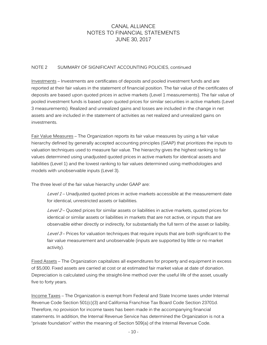#### NOTE 2 SUMMARY OF SIGNIFICANT ACCOUNTING POLICIES, continued

Investments – Investments are certificates of deposits and pooled investment funds and are reported at their fair values in the statement of financial position. The fair value of the certificates of deposits are based upon quoted prices in active markets (Level 1 measurements). The fair value of pooled investment funds is based upon quoted prices for similar securities in active markets (Level 3 measurements). Realized and unrealized gains and losses are included in the change in net assets and are included in the statement of activities as net realized and unrealized gains on investments.

Fair Value Measures – The Organization reports its fair value measures by using a fair value hierarchy defined by generally accepted accounting principles (GAAP) that prioritizes the inputs to valuation techniques used to measure fair value. The hierarchy gives the highest ranking to fair values determined using unadjusted quoted prices in active markets for identical assets and liabilities (Level 1) and the lowest ranking to fair values determined using methodologies and models with unobservable inputs (Level 3).

The three level of the fair value hierarchy under GAAP are:

Level 1 – Unadjusted quoted prices in active markets accessible at the measurement date for identical, unrestricted assets or liabilities.

Level 2 – Quoted prices for similar assets or liabilities in active markets, quoted prices for identical or similar assets or liabilities in markets that are not active, or inputs that are observable either directly or indirectly, for substantially the full term of the asset or liability.

Level  $3$  – Prices for valuation techniques that require inputs that are both significant to the fair value measurement and unobservable (inputs are supported by little or no market activity).

Fixed Assets – The Organization capitalizes all expenditures for property and equipment in excess of \$5,000. Fixed assets are carried at cost or at estimated fair market value at date of donation. Depreciation is calculated using the straight-line method over the useful life of the asset, usually five to forty years.

Income Taxes – The Organization is exempt from Federal and State Income taxes under Internal Revenue Code Section 501(c)(3) and California Franchise Tax Board Code Section 23701d. Therefore, no provision for income taxes has been made in the accompanying financial statements. In addition, the Internal Revenue Service has determined the Organization is not a "private foundation" within the meaning of Section 509(a) of the Internal Revenue Code.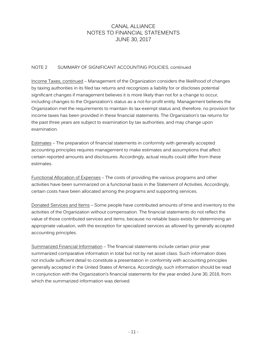#### NOTE 2 SUMMARY OF SIGNIFICANT ACCOUNTING POLICIES, continued

Income Taxes, continued – Management of the Organization considers the likelihood of changes by taxing authorities in its filed tax returns and recognizes a liability for or discloses potential significant changes if management believes it is more likely than not for a change to occur, including changes to the Organization's status as a not-for-profit entity. Management believes the Organization met the requirements to maintain its tax-exempt status and, therefore, no provision for income taxes has been provided in these financial statements. The Organization's tax returns for the past three years are subject to examination by tax authorities, and may change upon examination.

Estimates – The preparation of financial statements in conformity with generally accepted accounting principles requires management to make estimates and assumptions that affect certain reported amounts and disclosures. Accordingly, actual results could differ from these estimates.

Functional Allocation of Expenses – The costs of providing the various programs and other activities have been summarized on a functional basis in the Statement of Activities. Accordingly, certain costs have been allocated among the programs and supporting services.

Donated Services and Items – Some people have contributed amounts of time and inventory to the activities of the Organization without compensation. The financial statements do not reflect the value of those contributed services and items, because no reliable basis exists for determining an appropriate valuation, with the exception for specialized services as allowed by generally accepted accounting principles.

Summarized Financial Information – The financial statements include certain prior year summarized comparative information in total but not by net asset class. Such information does not include sufficient detail to constitute a presentation in conformity with accounting principles generally accepted in the United States of America. Accordingly, such information should be read in conjunction with the Organization's financial statements for the year ended June 30, 2016, from which the summarized information was derived.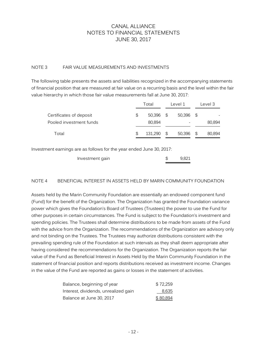#### NOTE 3 FAIR VALUE MEASUREMENTS AND INVESTMENTS

The following table presents the assets and liabilities recognized in the accompanying statements of financial position that are measured at fair value on a recurring basis and the level within the fair value hierarchy in which those fair value measurements fall at June 30, 2017:

|                         | Total |             |    | Level 1     | Level 3 |        |  |
|-------------------------|-------|-------------|----|-------------|---------|--------|--|
| Certificates of deposit | \$    | $50.396$ \$ |    | $50.396$ \$ |         |        |  |
| Pooled investment funds |       | 80,894      |    |             |         | 80,894 |  |
| Total                   | \$    | 131.290     | \$ | 50,396      | \$      | 80,894 |  |

Investment earnings are as follows for the year ended June 30, 2017:

| Investment gain |  | 9,821 |
|-----------------|--|-------|
|-----------------|--|-------|

#### NOTE 4 BENEFICIAL INTEREST IN ASSETS HELD BY MARIN COMMUNITY FOUNDATION

Assets held by the Marin Community Foundation are essentially an endowed component fund (Fund) for the benefit of the Organization. The Organization has granted the Foundation variance power which gives the Foundation's Board of Trustees (Trustees) the power to use the Fund for other purposes in certain circumstances. The Fund is subject to the Foundation's investment and spending policies. The Trustees shall determine distributions to be made from assets of the Fund with the advice from the Organization. The recommendations of the Organization are advisory only and not binding on the Trustees. The Trustees may authorize distributions consistent with the prevailing spending rule of the Foundation at such intervals as they shall deem appropriate after having considered the recommendations for the Organization. The Organization reports the fair value of the Fund as Beneficial Interest in Assets Held by the Marin Community Foundation in the statement of financial position and reports distributions received as investment income. Changes in the value of the Fund are reported as gains or losses in the statement of activities.

| Balance, beginning of year           | \$72,259 |
|--------------------------------------|----------|
| Interest, dividends, unrealized gain | 8.635    |
| Balance at June 30, 2017             | \$80,894 |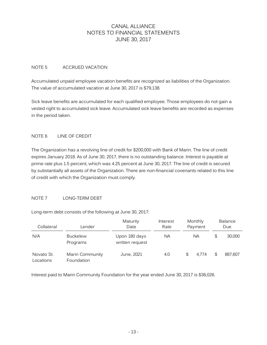#### NOTE 5 ACCRUED VACATION

Accumulated unpaid employee vacation benefits are recognized as liabilities of the Organization. The value of accumulated vacation at June 30, 2017 is \$79,138.

Sick leave benefits are accumulated for each qualified employee. Those employees do not gain a vested right to accumulated sick leave. Accumulated sick leave benefits are recorded as expenses in the period taken.

#### NOTE 6 LINE OF CREDIT

The Organization has a revolving line of credit for \$200,000 with Bank of Marin. The line of credit expires January 2018. As of June 30, 2017, there is no outstanding balance. Interest is payable at prime rate plus 1.5 percent, which was 4.25 percent at June 30, 2017. The line of credit is secured by substantially all assets of the Organization. There are non-financial covenants related to this line of credit with which the Organization must comply.

#### NOTE 7 LONG-TERM DEBT

Long-term debt consists of the following at June 30, 2017:

| Collateral<br>Lender    |                               | Maturity<br>Date                 | Interest<br>Rate | Monthly<br>Payment |       | <b>Balance</b><br>Due |         |  |
|-------------------------|-------------------------------|----------------------------------|------------------|--------------------|-------|-----------------------|---------|--|
| N/A                     | <b>Buckelew</b><br>Programs   | Upon 180 days<br>written request | ΝA               |                    | ΝA    |                       | 30,000  |  |
| Novato St.<br>Locations | Marin Community<br>Foundation | June, 2021                       | 4.0              | \$                 | 4.774 | \$                    | 887,607 |  |

Interest paid to Marin Community Foundation for the year ended June 30, 2017 is \$36,026.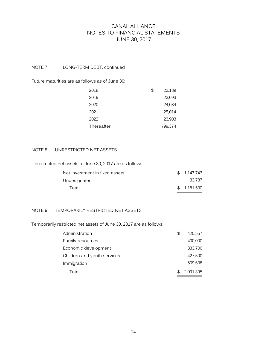#### NOTE 7 LONG-TERM DEBT, continued

Future maturities are as follows as of June 30:

| 2018       | \$<br>22,189 |
|------------|--------------|
| 2019       | 23,093       |
| 2020       | 24,034       |
| 2021       | 25,014       |
| 2022       | 23,903       |
| Thereafter | 799,374      |

#### NOTE 8 UNRESTRICTED NET ASSETS

Unrestricted net assets at June 30, 2017 are as follows:

| Net investment in fixed assets | \$1.147.743 |
|--------------------------------|-------------|
| Undesignated                   | 33.787      |
| Total                          | \$1.181.530 |

#### NOTE 9 TEMPORARILY RESTRICTED NET ASSETS

Temporarily restricted net assets of June 30, 2017 are as follows:

| Administration              | \$<br>420,557 |
|-----------------------------|---------------|
| Family resources            | 400,000       |
| Economic development        | 333,700       |
| Children and youth services | 427,500       |
| Immigration                 | 509,638       |
| Total                       | 2,091,395     |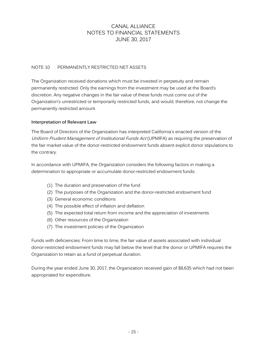#### NOTE 10 PERMANENTLY RESTRICTED NET ASSETS

The Organization received donations which must be invested in perpetuity and remain permanently restricted. Only the earnings from the investment may be used at the Board's discretion. Any negative changes in the fair value of these funds must come out of the Organization's unrestricted or temporarily restricted funds, and would, therefore, not change the permanently restricted amount.

#### **Interpretation of Relevant Law**

The Board of Directors of the Organization has interpreted California's enacted version of the Uniform Prudent Management of Institutional Funds Act (UPMIFA) as requiring the preservation of the fair market value of the donor-restricted endowment funds absent explicit donor stipulations to the contrary.

In accordance with UPMIFA, the Organization considers the following factors in making a determination to appropriate or accumulate donor-restricted endowment funds:

- (1) The duration and preservation of the fund
- (2) The purposes of the Organization and the donor-restricted endowment fund
- (3) General economic conditions
- (4) The possible effect of inflation and deflation
- (5) The expected total return from income and the appreciation of investments
- (6) Other resources of the Organization
- (7) The investment policies of the Organization

Funds with deficiencies: From time to time, the fair value of assets associated with individual donor-restricted endowment funds may fall below the level that the donor or UPMIFA requires the Organization to retain as a fund of perpetual duration.

During the year ended June 30, 2017, the Organization received gain of \$8,635 which had not been appropriated for expenditure.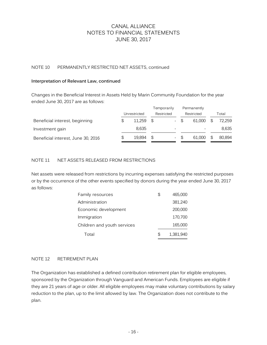#### NOTE 10 PERMANENTLY RESTRICTED NET ASSETS, continued

#### **Interpretation of Relevant Law, continued**

Changes in the Beneficial Interest in Assets Held by Marin Community Foundation for the year ended June 30, 2017 are as follows:

|                                    | Unrestricted | Temporarily<br>Restricted |                                  | Permanently<br>Restricted | Total  |
|------------------------------------|--------------|---------------------------|----------------------------------|---------------------------|--------|
|                                    |              |                           |                                  |                           |        |
| Beneficial interest, beginning     | 11.259       |                           | - \$<br>$\overline{\phantom{0}}$ | 61.000                    | 72.259 |
| Investment gain                    | 8.635        |                           | -                                | $\overline{\phantom{0}}$  | 8.635  |
| Beneficial interest, June 30, 2016 | 19.894       | \$.                       | - \$<br>Ξ.                       | 61.000                    | 80.894 |

#### NOTE 11 NET ASSETS RELEASED FROM RESTRICTIONS

Net assets were released from restrictions by incurring expenses satisfying the restricted purposes or by the occurrence of the other events specified by donors during the year ended June 30, 2017 as follows:

| Family resources            | \$<br>465,000   |
|-----------------------------|-----------------|
| Administration              | 381,240         |
| Economic development        | 200,000         |
| Immigration                 | 170,700         |
| Children and youth services | 165,000         |
| Total                       | \$<br>1,381,940 |

#### NOTE 12 RETIREMENT PLAN

The Organization has established a defined contribution retirement plan for eligible employees, sponsored by the Organization through Vanguard and American Funds. Employees are eligible if they are 21 years of age or older. All eligible employees may make voluntary contributions by salary reduction to the plan, up to the limit allowed by law. The Organization does not contribute to the plan.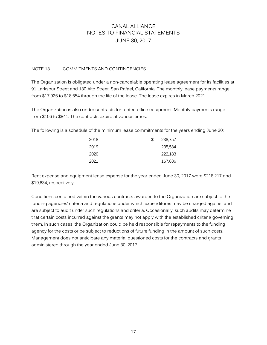#### NOTE 13 COMMITMENTS AND CONTINGENCIES

The Organization is obligated under a non-cancelable operating lease agreement for its facilities at 91 Larkspur Street and 130 Alto Street, San Rafael, California. The monthly lease payments range from \$17,926 to \$18,654 through the life of the lease. The lease expires in March 2021.

The Organization is also under contracts for rented office equipment. Monthly payments range from \$106 to \$841. The contracts expire at various times.

The following is a schedule of the minimum lease commitments for the years ending June 30:

| 2018 | \$<br>238.757 |
|------|---------------|
| 2019 | 235,584       |
| 2020 | 222.183       |
| 2021 | 167,886       |

Rent expense and equipment lease expense for the year ended June 30, 2017 were \$218,217 and \$19,634, respectively.

Conditions contained within the various contracts awarded to the Organization are subject to the funding agencies' criteria and regulations under which expenditures may be charged against and are subject to audit under such regulations and criteria. Occasionally, such audits may determine that certain costs incurred against the grants may not apply with the established criteria governing them. In such cases, the Organization could be held responsible for repayments to the funding agency for the costs or be subject to reductions of future funding in the amount of such costs. Management does not anticipate any material questioned costs for the contracts and grants administered through the year ended June 30, 2017.